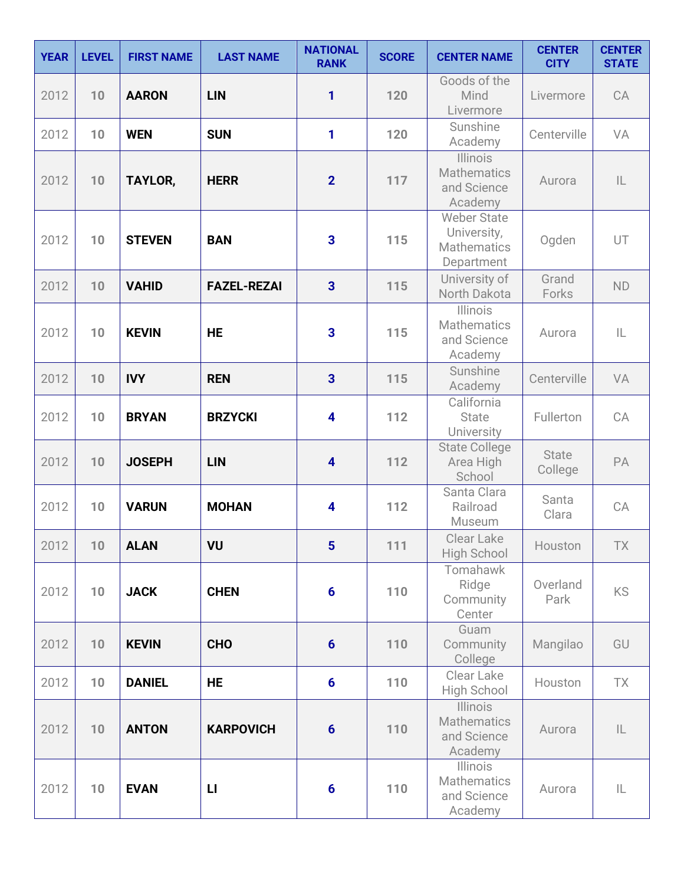| <b>YEAR</b> | <b>LEVEL</b> | <b>FIRST NAME</b> | <b>LAST NAME</b>   | <b>NATIONAL</b><br><b>RANK</b> | <b>SCORE</b> | <b>CENTER NAME</b>                                                    | <b>CENTER</b><br><b>CITY</b> | <b>CENTER</b><br><b>STATE</b> |
|-------------|--------------|-------------------|--------------------|--------------------------------|--------------|-----------------------------------------------------------------------|------------------------------|-------------------------------|
| 2012        | 10           | <b>AARON</b>      | <b>LIN</b>         | 1                              | 120          | Goods of the<br>Mind<br>Livermore                                     | Livermore                    | CA                            |
| 2012        | 10           | <b>WEN</b>        | <b>SUN</b>         | 1                              | 120          | Sunshine<br>Academy                                                   | Centerville                  | VA                            |
| 2012        | 10           | <b>TAYLOR,</b>    | <b>HERR</b>        | $\overline{2}$                 | 117          | <b>Illinois</b><br><b>Mathematics</b><br>and Science<br>Academy       | Aurora                       | $\mathsf{IL}$                 |
| 2012        | 10           | <b>STEVEN</b>     | <b>BAN</b>         | $\overline{\mathbf{3}}$        | 115          | <b>Weber State</b><br>University,<br><b>Mathematics</b><br>Department | Ogden                        | UT                            |
| 2012        | 10           | <b>VAHID</b>      | <b>FAZEL-REZAI</b> | $\overline{3}$                 | 115          | University of<br>North Dakota                                         | Grand<br>Forks               | <b>ND</b>                     |
| 2012        | 10           | <b>KEVIN</b>      | <b>HE</b>          | $\overline{\mathbf{3}}$        | 115          | Illinois<br><b>Mathematics</b><br>and Science<br>Academy              | Aurora                       | L                             |
| 2012        | 10           | <b>IVY</b>        | <b>REN</b>         | $\overline{3}$                 | 115          | Sunshine<br>Academy                                                   | Centerville                  | VA                            |
| 2012        | 10           | <b>BRYAN</b>      | <b>BRZYCKI</b>     | $\overline{\mathbf{4}}$        | 112          | California<br><b>State</b><br>University                              | Fullerton                    | CA                            |
| 2012        | 10           | <b>JOSEPH</b>     | <b>LIN</b>         | $\overline{\mathbf{4}}$        | 112          | <b>State College</b><br>Area High<br>School                           | <b>State</b><br>College      | PA                            |
| 2012        | 10           | <b>VARUN</b>      | <b>MOHAN</b>       | $\overline{\mathbf{4}}$        | 112          | Santa Clara<br>Railroad<br>Museum                                     | Santa<br>Clara               | CA                            |
| 2012        | 10           | <b>ALAN</b>       | VU                 | $5\phantom{1}$                 | 111          | Clear Lake<br><b>High School</b>                                      | Houston                      | TX                            |
| 2012        | 10           | <b>JACK</b>       | <b>CHEN</b>        | $6\phantom{a}$                 | 110          | Tomahawk<br>Ridge<br>Community<br>Center                              | Overland<br>Park             | <b>KS</b>                     |
| 2012        | 10           | <b>KEVIN</b>      | <b>CHO</b>         | $6\phantom{1}$                 | 110          | Guam<br>Community<br>College                                          | Mangilao                     | GU                            |
| 2012        | 10           | <b>DANIEL</b>     | <b>HE</b>          | $6\phantom{1}$                 | 110          | Clear Lake<br>High School                                             | Houston                      | <b>TX</b>                     |
| 2012        | 10           | <b>ANTON</b>      | <b>KARPOVICH</b>   | $6\phantom{1}6$                | 110          | <b>Illinois</b><br><b>Mathematics</b><br>and Science<br>Academy       | Aurora                       | IL                            |
| 2012        | 10           | <b>EVAN</b>       | $\mathbf{L}$       | $6\phantom{1}6$                | 110          | <b>Illinois</b><br><b>Mathematics</b><br>and Science<br>Academy       | Aurora                       | IL                            |